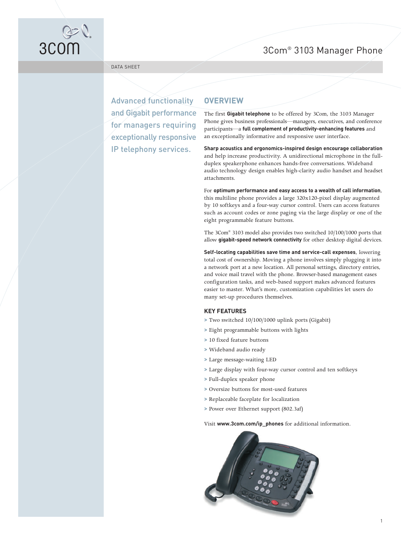# 3Com® 3103 Manager Phone



DATA SHEET

Advanced functionality and Gigabit performance for managers requiring exceptionally responsive IP telephony services.

## **OVERVIEW**

The first **Gigabit telephone** to be offered by 3Com, the 3103 Manager Phone gives business professionals—managers, executives, and conference participants—a **full complement of productivity-enhancing features** and an exceptionally informative and responsive user interface.

**Sharp acoustics and ergonomics-inspired design encourage collaboration** and help increase productivity. A unidirectional microphone in the fullduplex speakerphone enhances hands-free conversations. Wideband audio technology design enables high-clarity audio handset and headset attachments.

For **optimum performance and easy access to a wealth of call information**, this multiline phone provides a large 320x120-pixel display augmented by 10 softkeys and a four-way cursor control. Users can access features such as account codes or zone paging via the large display or one of the eight programmable feature buttons.

The 3Com® 3103 model also provides two switched 10/100/1000 ports that allow **gigabit-speed network connectivity** for other desktop digital devices.

**Self-locating capabilities save time and service-call expenses**, lowering total cost of ownership. Moving a phone involves simply plugging it into a network port at a new location. All personal settings, directory entries, and voice mail travel with the phone. Browser-based management eases configuration tasks, and web-based support makes advanced features easier to master. What's more, customization capabilities let users do many set-up procedures themselves.

#### **KEY FEATURES**

- **>** Two switched 10/100/1000 uplink ports (Gigabit)
- **>** Eight programmable buttons with lights
- **>** 10 fixed feature buttons
- **>** Wideband audio ready
- **>** Large message-waiting LED
- **>** Large display with four-way cursor control and ten softkeys
- **>** Full-duplex speaker phone
- **>** Oversize buttons for most-used features
- **>** Replaceable faceplate for localization
- **>** Power over Ethernet support (802.3af)

Visit **www.3com.com/ip\_phones** for additional information.